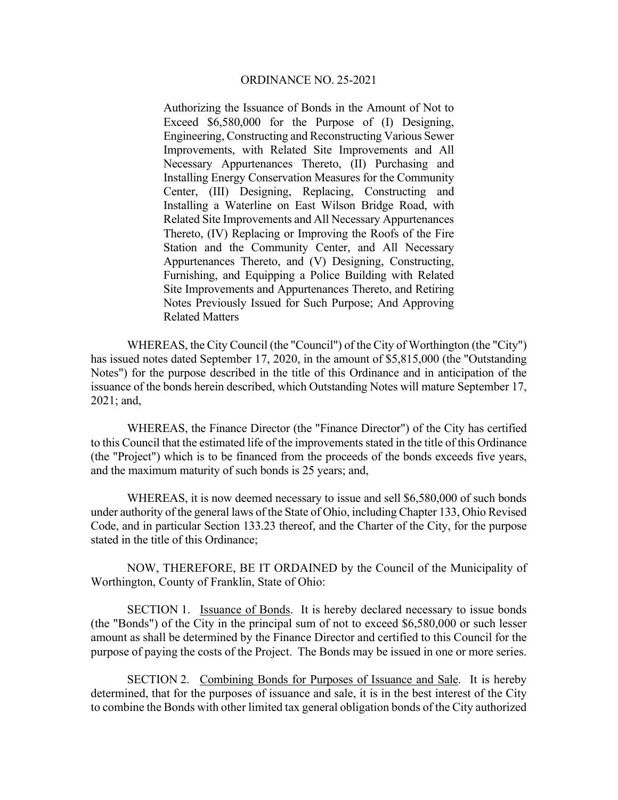Authorizing the Issuance of Bonds in the Amount of Not to Exceed \$6,580,000 for the Purpose of (I) Designing, Engineering, Constructing and Reconstructing Various Sewer Improvements, with Related Site Improvements and All Necessary Appurtenances Thereto, (II) Purchasing and Installing Energy Conservation Measures for the Community Center, (III) Designing, Replacing, Constructing and Installing a Waterline on East Wilson Bridge Road, with Related Site Improvements and All Necessary Appurtenances Thereto, (IV) Replacing or Improving the Roofs of the Fire Station and the Community Center, and All Necessary Appurtenances Thereto, and (V) Designing, Constructing, Furnishing, and Equipping a Police Building with Related Site Improvements and Appurtenances Thereto, and Retiring Notes Previously Issued for Such Purpose; And Approving Related Matters

WHEREAS, the City Council (the "Council") of the City of Worthington (the "City") has issued notes dated September 17, 2020, in the amount of \$5,815,000 (the "Outstanding Notes") for the purpose described in the title of this Ordinance and in anticipation of the issuance of the bonds herein described, which Outstanding Notes will mature September 17, 2021; and,

 WHEREAS, the Finance Director (the "Finance Director") of the City has certified to this Council that the estimated life of the improvements stated in the title of this Ordinance (the "Project") which is to be financed from the proceeds of the bonds exceeds five years, and the maximum maturity of such bonds is 25 years; and,

 WHEREAS, it is now deemed necessary to issue and sell \$6,580,000 of such bonds under authority of the general laws of the State of Ohio, including Chapter 133, Ohio Revised Code, and in particular Section 133.23 thereof, and the Charter of the City, for the purpose stated in the title of this Ordinance;

NOW, THEREFORE, BE IT ORDAINED by the Council of the Municipality of Worthington, County of Franklin, State of Ohio:

SECTION 1. Issuance of Bonds. It is hereby declared necessary to issue bonds (the "Bonds") of the City in the principal sum of not to exceed \$6,580,000 or such lesser amount as shall be determined by the Finance Director and certified to this Council for the purpose of paying the costs of the Project. The Bonds may be issued in one or more series.

 SECTION 2. Combining Bonds for Purposes of Issuance and Sale. It is hereby determined, that for the purposes of issuance and sale, it is in the best interest of the City to combine the Bonds with other limited tax general obligation bonds of the City authorized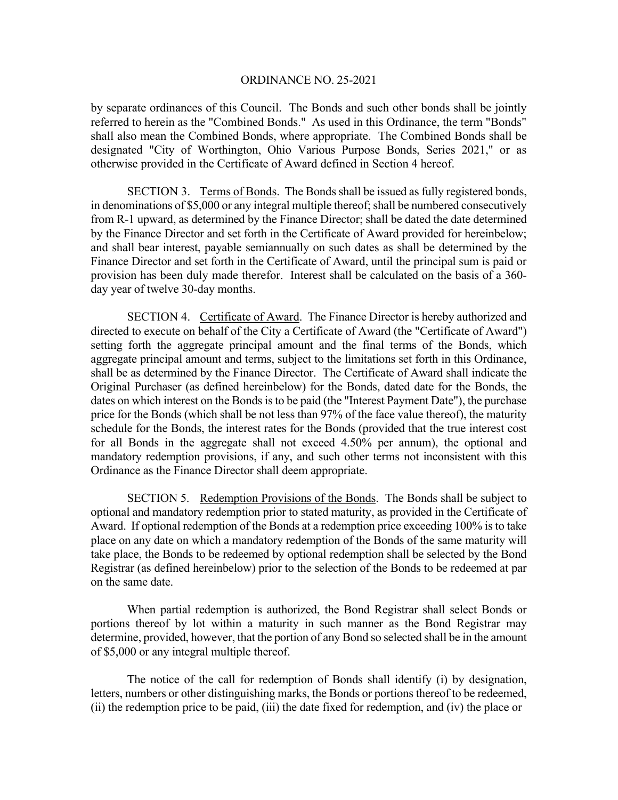by separate ordinances of this Council. The Bonds and such other bonds shall be jointly referred to herein as the "Combined Bonds." As used in this Ordinance, the term "Bonds" shall also mean the Combined Bonds, where appropriate. The Combined Bonds shall be designated "City of Worthington, Ohio Various Purpose Bonds, Series 2021," or as otherwise provided in the Certificate of Award defined in Section 4 hereof.

 SECTION 3. Terms of Bonds. The Bonds shall be issued as fully registered bonds, in denominations of \$5,000 or any integral multiple thereof; shall be numbered consecutively from R-1 upward, as determined by the Finance Director; shall be dated the date determined by the Finance Director and set forth in the Certificate of Award provided for hereinbelow; and shall bear interest, payable semiannually on such dates as shall be determined by the Finance Director and set forth in the Certificate of Award, until the principal sum is paid or provision has been duly made therefor. Interest shall be calculated on the basis of a 360 day year of twelve 30-day months.

 SECTION 4. Certificate of Award. The Finance Director is hereby authorized and directed to execute on behalf of the City a Certificate of Award (the "Certificate of Award") setting forth the aggregate principal amount and the final terms of the Bonds, which aggregate principal amount and terms, subject to the limitations set forth in this Ordinance, shall be as determined by the Finance Director. The Certificate of Award shall indicate the Original Purchaser (as defined hereinbelow) for the Bonds, dated date for the Bonds, the dates on which interest on the Bonds is to be paid (the "Interest Payment Date"), the purchase price for the Bonds (which shall be not less than 97% of the face value thereof), the maturity schedule for the Bonds, the interest rates for the Bonds (provided that the true interest cost for all Bonds in the aggregate shall not exceed 4.50% per annum), the optional and mandatory redemption provisions, if any, and such other terms not inconsistent with this Ordinance as the Finance Director shall deem appropriate.

 SECTION 5. Redemption Provisions of the Bonds. The Bonds shall be subject to optional and mandatory redemption prior to stated maturity, as provided in the Certificate of Award. If optional redemption of the Bonds at a redemption price exceeding 100% is to take place on any date on which a mandatory redemption of the Bonds of the same maturity will take place, the Bonds to be redeemed by optional redemption shall be selected by the Bond Registrar (as defined hereinbelow) prior to the selection of the Bonds to be redeemed at par on the same date.

 When partial redemption is authorized, the Bond Registrar shall select Bonds or portions thereof by lot within a maturity in such manner as the Bond Registrar may determine, provided, however, that the portion of any Bond so selected shall be in the amount of \$5,000 or any integral multiple thereof.

 The notice of the call for redemption of Bonds shall identify (i) by designation, letters, numbers or other distinguishing marks, the Bonds or portions thereof to be redeemed, (ii) the redemption price to be paid, (iii) the date fixed for redemption, and (iv) the place or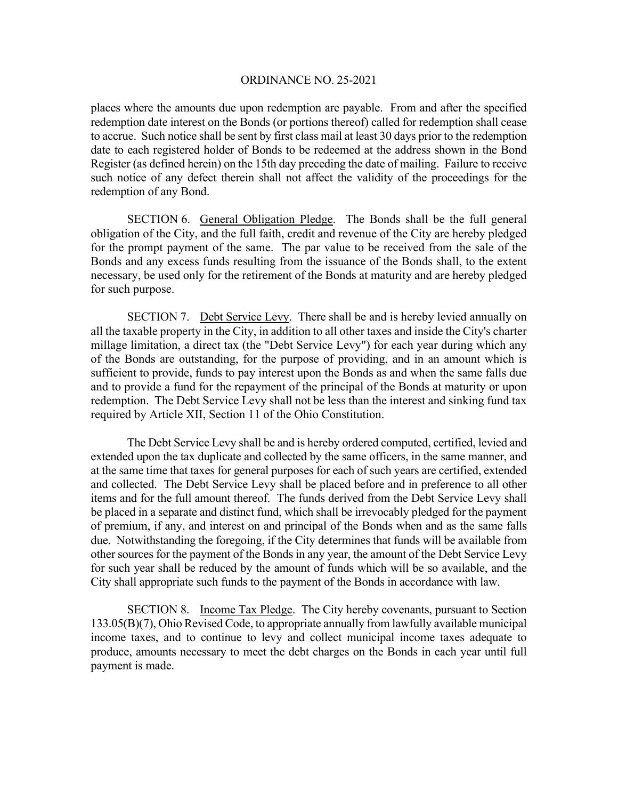places where the amounts due upon redemption are payable. From and after the specified redemption date interest on the Bonds (or portions thereof) called for redemption shall cease to accrue. Such notice shall be sent by first class mail at least 30 days prior to the redemption date to each registered holder of Bonds to be redeemed at the address shown in the Bond Register (as defined herein) on the 15th day preceding the date of mailing. Failure to receive such notice of any defect therein shall not affect the validity of the proceedings for the redemption of any Bond.

 SECTION 6. General Obligation Pledge. The Bonds shall be the full general obligation of the City, and the full faith, credit and revenue of the City are hereby pledged for the prompt payment of the same. The par value to be received from the sale of the Bonds and any excess funds resulting from the issuance of the Bonds shall, to the extent necessary, be used only for the retirement of the Bonds at maturity and are hereby pledged for such purpose.

 SECTION 7. Debt Service Levy. There shall be and is hereby levied annually on all the taxable property in the City, in addition to all other taxes and inside the City's charter millage limitation, a direct tax (the "Debt Service Levy") for each year during which any of the Bonds are outstanding, for the purpose of providing, and in an amount which is sufficient to provide, funds to pay interest upon the Bonds as and when the same falls due and to provide a fund for the repayment of the principal of the Bonds at maturity or upon redemption. The Debt Service Levy shall not be less than the interest and sinking fund tax required by Article XII, Section 11 of the Ohio Constitution.

The Debt Service Levy shall be and is hereby ordered computed, certified, levied and extended upon the tax duplicate and collected by the same officers, in the same manner, and at the same time that taxes for general purposes for each of such years are certified, extended and collected. The Debt Service Levy shall be placed before and in preference to all other items and for the full amount thereof. The funds derived from the Debt Service Levy shall be placed in a separate and distinct fund, which shall be irrevocably pledged for the payment of premium, if any, and interest on and principal of the Bonds when and as the same falls due. Notwithstanding the foregoing, if the City determines that funds will be available from other sources for the payment of the Bonds in any year, the amount of the Debt Service Levy for such year shall be reduced by the amount of funds which will be so available, and the City shall appropriate such funds to the payment of the Bonds in accordance with law.

 SECTION 8. Income Tax Pledge. The City hereby covenants, pursuant to Section 133.05(B)(7), Ohio Revised Code, to appropriate annually from lawfully available municipal income taxes, and to continue to levy and collect municipal income taxes adequate to produce, amounts necessary to meet the debt charges on the Bonds in each year until full payment is made.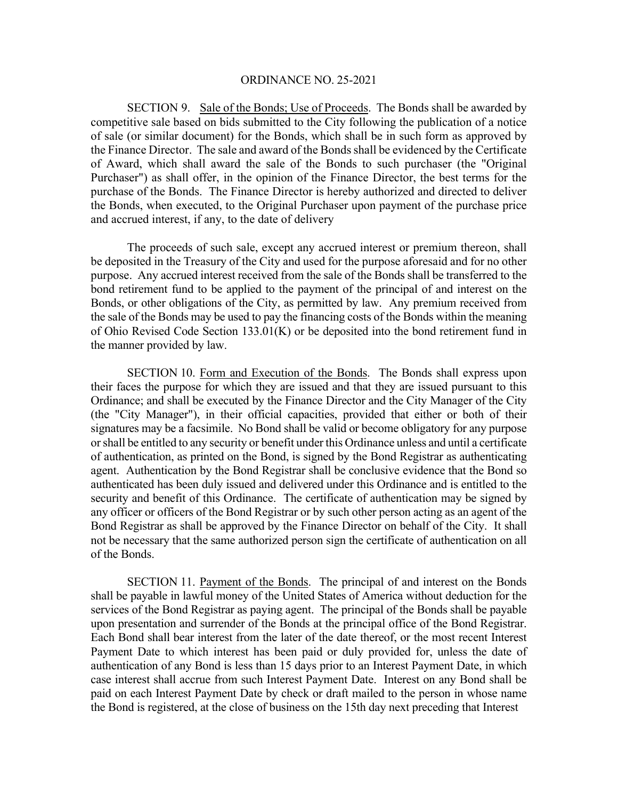SECTION 9. Sale of the Bonds; Use of Proceeds. The Bonds shall be awarded by competitive sale based on bids submitted to the City following the publication of a notice of sale (or similar document) for the Bonds, which shall be in such form as approved by the Finance Director. The sale and award of the Bonds shall be evidenced by the Certificate of Award, which shall award the sale of the Bonds to such purchaser (the "Original Purchaser") as shall offer, in the opinion of the Finance Director, the best terms for the purchase of the Bonds. The Finance Director is hereby authorized and directed to deliver the Bonds, when executed, to the Original Purchaser upon payment of the purchase price and accrued interest, if any, to the date of delivery

The proceeds of such sale, except any accrued interest or premium thereon, shall be deposited in the Treasury of the City and used for the purpose aforesaid and for no other purpose. Any accrued interest received from the sale of the Bonds shall be transferred to the bond retirement fund to be applied to the payment of the principal of and interest on the Bonds, or other obligations of the City, as permitted by law. Any premium received from the sale of the Bonds may be used to pay the financing costs of the Bonds within the meaning of Ohio Revised Code Section 133.01(K) or be deposited into the bond retirement fund in the manner provided by law.

 SECTION 10. Form and Execution of the Bonds. The Bonds shall express upon their faces the purpose for which they are issued and that they are issued pursuant to this Ordinance; and shall be executed by the Finance Director and the City Manager of the City (the "City Manager"), in their official capacities, provided that either or both of their signatures may be a facsimile. No Bond shall be valid or become obligatory for any purpose or shall be entitled to any security or benefit under this Ordinance unless and until a certificate of authentication, as printed on the Bond, is signed by the Bond Registrar as authenticating agent. Authentication by the Bond Registrar shall be conclusive evidence that the Bond so authenticated has been duly issued and delivered under this Ordinance and is entitled to the security and benefit of this Ordinance. The certificate of authentication may be signed by any officer or officers of the Bond Registrar or by such other person acting as an agent of the Bond Registrar as shall be approved by the Finance Director on behalf of the City. It shall not be necessary that the same authorized person sign the certificate of authentication on all of the Bonds.

SECTION 11. Payment of the Bonds. The principal of and interest on the Bonds shall be payable in lawful money of the United States of America without deduction for the services of the Bond Registrar as paying agent. The principal of the Bonds shall be payable upon presentation and surrender of the Bonds at the principal office of the Bond Registrar. Each Bond shall bear interest from the later of the date thereof, or the most recent Interest Payment Date to which interest has been paid or duly provided for, unless the date of authentication of any Bond is less than 15 days prior to an Interest Payment Date, in which case interest shall accrue from such Interest Payment Date. Interest on any Bond shall be paid on each Interest Payment Date by check or draft mailed to the person in whose name the Bond is registered, at the close of business on the 15th day next preceding that Interest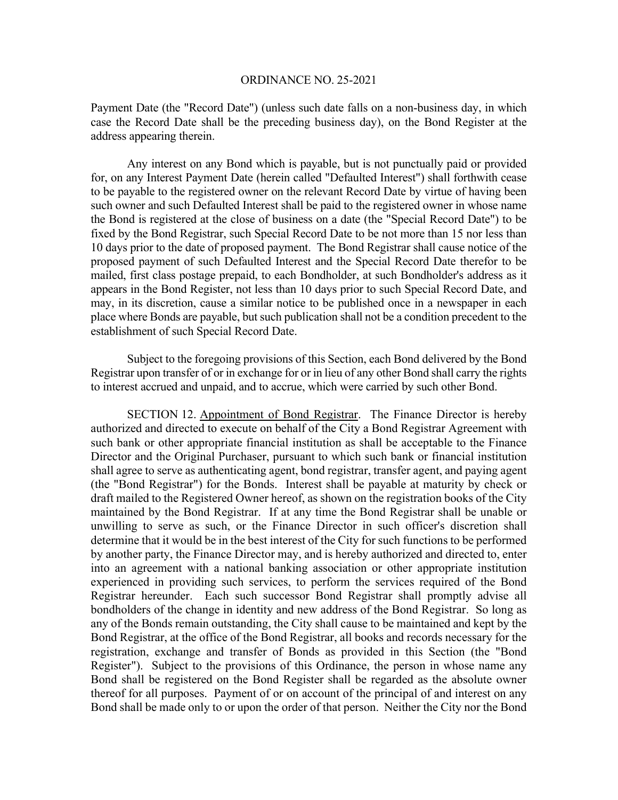Payment Date (the "Record Date") (unless such date falls on a non-business day, in which case the Record Date shall be the preceding business day), on the Bond Register at the address appearing therein.

 Any interest on any Bond which is payable, but is not punctually paid or provided for, on any Interest Payment Date (herein called "Defaulted Interest") shall forthwith cease to be payable to the registered owner on the relevant Record Date by virtue of having been such owner and such Defaulted Interest shall be paid to the registered owner in whose name the Bond is registered at the close of business on a date (the "Special Record Date") to be fixed by the Bond Registrar, such Special Record Date to be not more than 15 nor less than 10 days prior to the date of proposed payment. The Bond Registrar shall cause notice of the proposed payment of such Defaulted Interest and the Special Record Date therefor to be mailed, first class postage prepaid, to each Bondholder, at such Bondholder's address as it appears in the Bond Register, not less than 10 days prior to such Special Record Date, and may, in its discretion, cause a similar notice to be published once in a newspaper in each place where Bonds are payable, but such publication shall not be a condition precedent to the establishment of such Special Record Date.

 Subject to the foregoing provisions of this Section, each Bond delivered by the Bond Registrar upon transfer of or in exchange for or in lieu of any other Bond shall carry the rights to interest accrued and unpaid, and to accrue, which were carried by such other Bond.

 SECTION 12. Appointment of Bond Registrar. The Finance Director is hereby authorized and directed to execute on behalf of the City a Bond Registrar Agreement with such bank or other appropriate financial institution as shall be acceptable to the Finance Director and the Original Purchaser, pursuant to which such bank or financial institution shall agree to serve as authenticating agent, bond registrar, transfer agent, and paying agent (the "Bond Registrar") for the Bonds. Interest shall be payable at maturity by check or draft mailed to the Registered Owner hereof, as shown on the registration books of the City maintained by the Bond Registrar. If at any time the Bond Registrar shall be unable or unwilling to serve as such, or the Finance Director in such officer's discretion shall determine that it would be in the best interest of the City for such functions to be performed by another party, the Finance Director may, and is hereby authorized and directed to, enter into an agreement with a national banking association or other appropriate institution experienced in providing such services, to perform the services required of the Bond Registrar hereunder. Each such successor Bond Registrar shall promptly advise all bondholders of the change in identity and new address of the Bond Registrar. So long as any of the Bonds remain outstanding, the City shall cause to be maintained and kept by the Bond Registrar, at the office of the Bond Registrar, all books and records necessary for the registration, exchange and transfer of Bonds as provided in this Section (the "Bond Register"). Subject to the provisions of this Ordinance, the person in whose name any Bond shall be registered on the Bond Register shall be regarded as the absolute owner thereof for all purposes. Payment of or on account of the principal of and interest on any Bond shall be made only to or upon the order of that person. Neither the City nor the Bond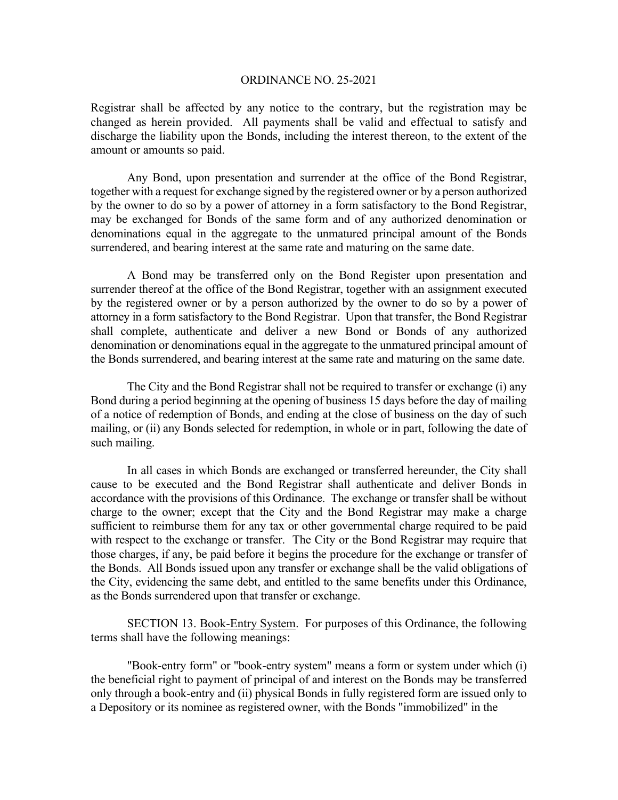Registrar shall be affected by any notice to the contrary, but the registration may be changed as herein provided. All payments shall be valid and effectual to satisfy and discharge the liability upon the Bonds, including the interest thereon, to the extent of the amount or amounts so paid.

 Any Bond, upon presentation and surrender at the office of the Bond Registrar, together with a request for exchange signed by the registered owner or by a person authorized by the owner to do so by a power of attorney in a form satisfactory to the Bond Registrar, may be exchanged for Bonds of the same form and of any authorized denomination or denominations equal in the aggregate to the unmatured principal amount of the Bonds surrendered, and bearing interest at the same rate and maturing on the same date.

 A Bond may be transferred only on the Bond Register upon presentation and surrender thereof at the office of the Bond Registrar, together with an assignment executed by the registered owner or by a person authorized by the owner to do so by a power of attorney in a form satisfactory to the Bond Registrar. Upon that transfer, the Bond Registrar shall complete, authenticate and deliver a new Bond or Bonds of any authorized denomination or denominations equal in the aggregate to the unmatured principal amount of the Bonds surrendered, and bearing interest at the same rate and maturing on the same date.

 The City and the Bond Registrar shall not be required to transfer or exchange (i) any Bond during a period beginning at the opening of business 15 days before the day of mailing of a notice of redemption of Bonds, and ending at the close of business on the day of such mailing, or (ii) any Bonds selected for redemption, in whole or in part, following the date of such mailing.

In all cases in which Bonds are exchanged or transferred hereunder, the City shall cause to be executed and the Bond Registrar shall authenticate and deliver Bonds in accordance with the provisions of this Ordinance. The exchange or transfer shall be without charge to the owner; except that the City and the Bond Registrar may make a charge sufficient to reimburse them for any tax or other governmental charge required to be paid with respect to the exchange or transfer. The City or the Bond Registrar may require that those charges, if any, be paid before it begins the procedure for the exchange or transfer of the Bonds. All Bonds issued upon any transfer or exchange shall be the valid obligations of the City, evidencing the same debt, and entitled to the same benefits under this Ordinance, as the Bonds surrendered upon that transfer or exchange.

 SECTION 13. Book-Entry System. For purposes of this Ordinance, the following terms shall have the following meanings:

 "Book-entry form" or "book-entry system" means a form or system under which (i) the beneficial right to payment of principal of and interest on the Bonds may be transferred only through a book-entry and (ii) physical Bonds in fully registered form are issued only to a Depository or its nominee as registered owner, with the Bonds "immobilized" in the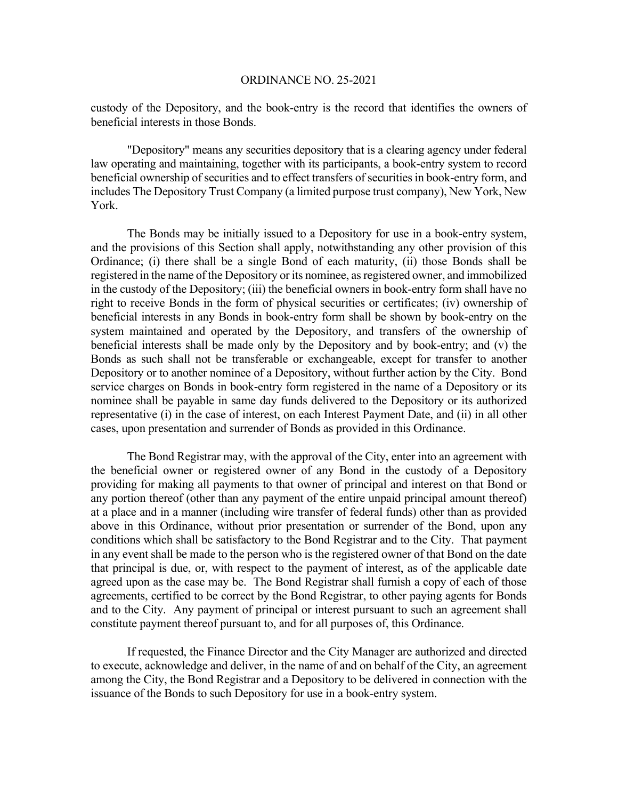custody of the Depository, and the book-entry is the record that identifies the owners of beneficial interests in those Bonds.

 "Depository" means any securities depository that is a clearing agency under federal law operating and maintaining, together with its participants, a book-entry system to record beneficial ownership of securities and to effect transfers of securities in book-entry form, and includes The Depository Trust Company (a limited purpose trust company), New York, New York.

 The Bonds may be initially issued to a Depository for use in a book-entry system, and the provisions of this Section shall apply, notwithstanding any other provision of this Ordinance; (i) there shall be a single Bond of each maturity, (ii) those Bonds shall be registered in the name of the Depository or its nominee, as registered owner, and immobilized in the custody of the Depository; (iii) the beneficial owners in book-entry form shall have no right to receive Bonds in the form of physical securities or certificates; (iv) ownership of beneficial interests in any Bonds in book-entry form shall be shown by book-entry on the system maintained and operated by the Depository, and transfers of the ownership of beneficial interests shall be made only by the Depository and by book-entry; and (v) the Bonds as such shall not be transferable or exchangeable, except for transfer to another Depository or to another nominee of a Depository, without further action by the City. Bond service charges on Bonds in book-entry form registered in the name of a Depository or its nominee shall be payable in same day funds delivered to the Depository or its authorized representative (i) in the case of interest, on each Interest Payment Date, and (ii) in all other cases, upon presentation and surrender of Bonds as provided in this Ordinance.

 The Bond Registrar may, with the approval of the City, enter into an agreement with the beneficial owner or registered owner of any Bond in the custody of a Depository providing for making all payments to that owner of principal and interest on that Bond or any portion thereof (other than any payment of the entire unpaid principal amount thereof) at a place and in a manner (including wire transfer of federal funds) other than as provided above in this Ordinance, without prior presentation or surrender of the Bond, upon any conditions which shall be satisfactory to the Bond Registrar and to the City. That payment in any event shall be made to the person who is the registered owner of that Bond on the date that principal is due, or, with respect to the payment of interest, as of the applicable date agreed upon as the case may be. The Bond Registrar shall furnish a copy of each of those agreements, certified to be correct by the Bond Registrar, to other paying agents for Bonds and to the City. Any payment of principal or interest pursuant to such an agreement shall constitute payment thereof pursuant to, and for all purposes of, this Ordinance.

 If requested, the Finance Director and the City Manager are authorized and directed to execute, acknowledge and deliver, in the name of and on behalf of the City, an agreement among the City, the Bond Registrar and a Depository to be delivered in connection with the issuance of the Bonds to such Depository for use in a book-entry system.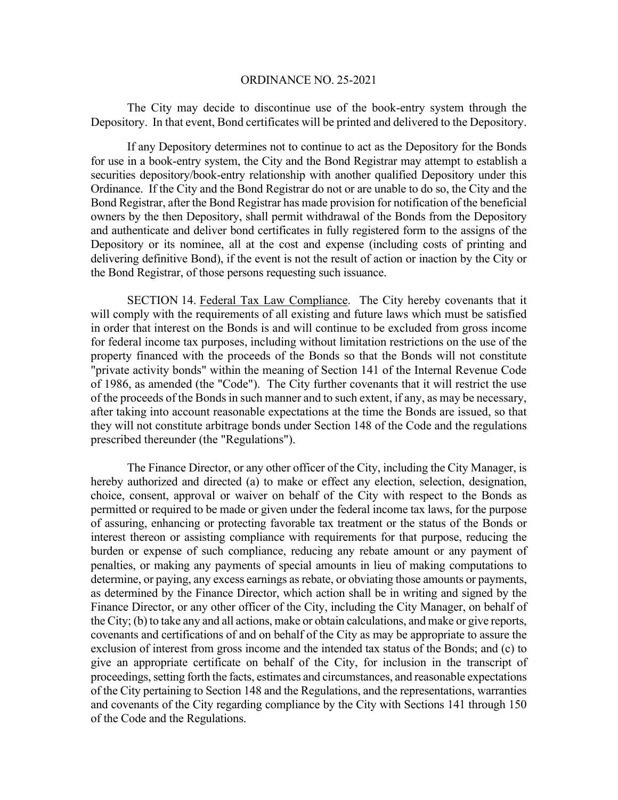The City may decide to discontinue use of the book-entry system through the Depository. In that event, Bond certificates will be printed and delivered to the Depository.

 If any Depository determines not to continue to act as the Depository for the Bonds for use in a book-entry system, the City and the Bond Registrar may attempt to establish a securities depository/book-entry relationship with another qualified Depository under this Ordinance. If the City and the Bond Registrar do not or are unable to do so, the City and the Bond Registrar, after the Bond Registrar has made provision for notification of the beneficial owners by the then Depository, shall permit withdrawal of the Bonds from the Depository and authenticate and deliver bond certificates in fully registered form to the assigns of the Depository or its nominee, all at the cost and expense (including costs of printing and delivering definitive Bond), if the event is not the result of action or inaction by the City or the Bond Registrar, of those persons requesting such issuance.

 SECTION 14. Federal Tax Law Compliance. The City hereby covenants that it will comply with the requirements of all existing and future laws which must be satisfied in order that interest on the Bonds is and will continue to be excluded from gross income for federal income tax purposes, including without limitation restrictions on the use of the property financed with the proceeds of the Bonds so that the Bonds will not constitute "private activity bonds" within the meaning of Section 141 of the Internal Revenue Code of 1986, as amended (the "Code"). The City further covenants that it will restrict the use of the proceeds of the Bonds in such manner and to such extent, if any, as may be necessary, after taking into account reasonable expectations at the time the Bonds are issued, so that they will not constitute arbitrage bonds under Section 148 of the Code and the regulations prescribed thereunder (the "Regulations").

The Finance Director, or any other officer of the City, including the City Manager, is hereby authorized and directed (a) to make or effect any election, selection, designation, choice, consent, approval or waiver on behalf of the City with respect to the Bonds as permitted or required to be made or given under the federal income tax laws, for the purpose of assuring, enhancing or protecting favorable tax treatment or the status of the Bonds or interest thereon or assisting compliance with requirements for that purpose, reducing the burden or expense of such compliance, reducing any rebate amount or any payment of penalties, or making any payments of special amounts in lieu of making computations to determine, or paying, any excess earnings as rebate, or obviating those amounts or payments, as determined by the Finance Director, which action shall be in writing and signed by the Finance Director, or any other officer of the City, including the City Manager, on behalf of the City; (b) to take any and all actions, make or obtain calculations, and make or give reports, covenants and certifications of and on behalf of the City as may be appropriate to assure the exclusion of interest from gross income and the intended tax status of the Bonds; and (c) to give an appropriate certificate on behalf of the City, for inclusion in the transcript of proceedings, setting forth the facts, estimates and circumstances, and reasonable expectations of the City pertaining to Section 148 and the Regulations, and the representations, warranties and covenants of the City regarding compliance by the City with Sections 141 through 150 of the Code and the Regulations.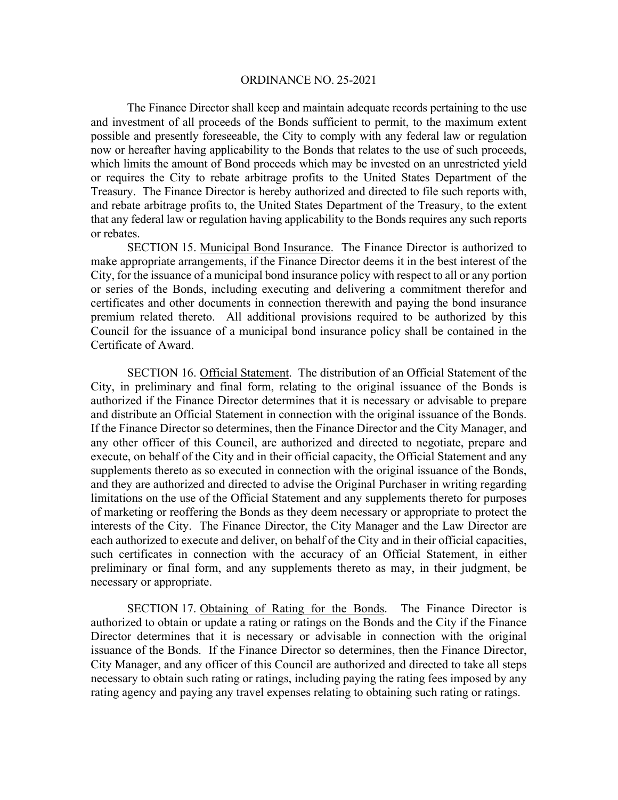The Finance Director shall keep and maintain adequate records pertaining to the use and investment of all proceeds of the Bonds sufficient to permit, to the maximum extent possible and presently foreseeable, the City to comply with any federal law or regulation now or hereafter having applicability to the Bonds that relates to the use of such proceeds, which limits the amount of Bond proceeds which may be invested on an unrestricted yield or requires the City to rebate arbitrage profits to the United States Department of the Treasury. The Finance Director is hereby authorized and directed to file such reports with, and rebate arbitrage profits to, the United States Department of the Treasury, to the extent that any federal law or regulation having applicability to the Bonds requires any such reports or rebates.

 SECTION 15. Municipal Bond Insurance. The Finance Director is authorized to make appropriate arrangements, if the Finance Director deems it in the best interest of the City, for the issuance of a municipal bond insurance policy with respect to all or any portion or series of the Bonds, including executing and delivering a commitment therefor and certificates and other documents in connection therewith and paying the bond insurance premium related thereto. All additional provisions required to be authorized by this Council for the issuance of a municipal bond insurance policy shall be contained in the Certificate of Award.

 SECTION 16. Official Statement. The distribution of an Official Statement of the City, in preliminary and final form, relating to the original issuance of the Bonds is authorized if the Finance Director determines that it is necessary or advisable to prepare and distribute an Official Statement in connection with the original issuance of the Bonds. If the Finance Director so determines, then the Finance Director and the City Manager, and any other officer of this Council, are authorized and directed to negotiate, prepare and execute, on behalf of the City and in their official capacity, the Official Statement and any supplements thereto as so executed in connection with the original issuance of the Bonds, and they are authorized and directed to advise the Original Purchaser in writing regarding limitations on the use of the Official Statement and any supplements thereto for purposes of marketing or reoffering the Bonds as they deem necessary or appropriate to protect the interests of the City. The Finance Director, the City Manager and the Law Director are each authorized to execute and deliver, on behalf of the City and in their official capacities, such certificates in connection with the accuracy of an Official Statement, in either preliminary or final form, and any supplements thereto as may, in their judgment, be necessary or appropriate.

 SECTION 17. Obtaining of Rating for the Bonds. The Finance Director is authorized to obtain or update a rating or ratings on the Bonds and the City if the Finance Director determines that it is necessary or advisable in connection with the original issuance of the Bonds. If the Finance Director so determines, then the Finance Director, City Manager, and any officer of this Council are authorized and directed to take all steps necessary to obtain such rating or ratings, including paying the rating fees imposed by any rating agency and paying any travel expenses relating to obtaining such rating or ratings.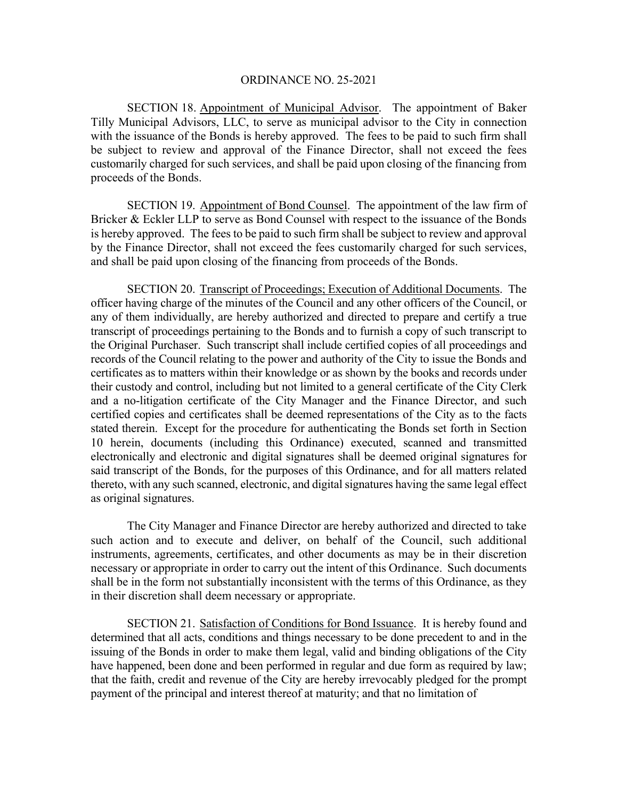SECTION 18. Appointment of Municipal Advisor. The appointment of Baker Tilly Municipal Advisors, LLC, to serve as municipal advisor to the City in connection with the issuance of the Bonds is hereby approved. The fees to be paid to such firm shall be subject to review and approval of the Finance Director, shall not exceed the fees customarily charged for such services, and shall be paid upon closing of the financing from proceeds of the Bonds.

 SECTION 19. Appointment of Bond Counsel. The appointment of the law firm of Bricker & Eckler LLP to serve as Bond Counsel with respect to the issuance of the Bonds is hereby approved. The fees to be paid to such firm shall be subject to review and approval by the Finance Director, shall not exceed the fees customarily charged for such services, and shall be paid upon closing of the financing from proceeds of the Bonds.

 SECTION 20. Transcript of Proceedings; Execution of Additional Documents. The officer having charge of the minutes of the Council and any other officers of the Council, or any of them individually, are hereby authorized and directed to prepare and certify a true transcript of proceedings pertaining to the Bonds and to furnish a copy of such transcript to the Original Purchaser. Such transcript shall include certified copies of all proceedings and records of the Council relating to the power and authority of the City to issue the Bonds and certificates as to matters within their knowledge or as shown by the books and records under their custody and control, including but not limited to a general certificate of the City Clerk and a no-litigation certificate of the City Manager and the Finance Director, and such certified copies and certificates shall be deemed representations of the City as to the facts stated therein. Except for the procedure for authenticating the Bonds set forth in Section 10 herein, documents (including this Ordinance) executed, scanned and transmitted electronically and electronic and digital signatures shall be deemed original signatures for said transcript of the Bonds, for the purposes of this Ordinance, and for all matters related thereto, with any such scanned, electronic, and digital signatures having the same legal effect as original signatures.

The City Manager and Finance Director are hereby authorized and directed to take such action and to execute and deliver, on behalf of the Council, such additional instruments, agreements, certificates, and other documents as may be in their discretion necessary or appropriate in order to carry out the intent of this Ordinance. Such documents shall be in the form not substantially inconsistent with the terms of this Ordinance, as they in their discretion shall deem necessary or appropriate.

SECTION 21. Satisfaction of Conditions for Bond Issuance. It is hereby found and determined that all acts, conditions and things necessary to be done precedent to and in the issuing of the Bonds in order to make them legal, valid and binding obligations of the City have happened, been done and been performed in regular and due form as required by law; that the faith, credit and revenue of the City are hereby irrevocably pledged for the prompt payment of the principal and interest thereof at maturity; and that no limitation of